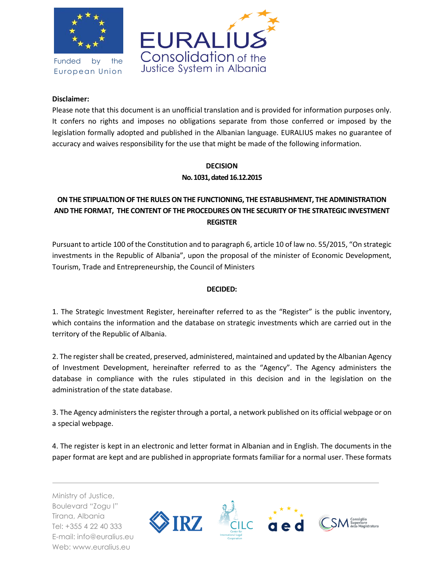

Funded by the European Union



## **Disclaimer:**

Please note that this document is an unofficial translation and is provided for information purposes only. It confers no rights and imposes no obligations separate from those conferred or imposed by the legislation formally adopted and published in the Albanian language. EURALIUS makes no guarantee of accuracy and waives responsibility for the use that might be made of the following information.

## **DECISION** No. 1031, dated 16.12.2015

## **ON THE STIPUALTION OF THE RULES ON THE FUNCTIONING, THE ESTABLISHMENT, THE ADMINISTRATION AND THE FORMAT, THE CONTENT OF THE PROCEDURES ON THE SECURITY OF THE STRATEGIC INVESTMENT REGISTER**

Pursuant to article 100 of the Constitution and to paragraph 6, article 10 of law no. 55/2015, "On strategic investments in the Republic of Albania", upon the proposal of the minister of Economic Development, Tourism, Trade and Entrepreneurship, the Council of Ministers

## **DECIDED:**

1. The Strategic Investment Register, hereinafter referred to as the "Register" is the public inventory, which contains the information and the database on strategic investments which are carried out in the territory of the Republic of Albania.

2. The register shall be created, preserved, administered, maintained and updated by the Albanian Agency of Investment Development, hereinafter referred to as the "Agency". The Agency administers the database in compliance with the rules stipulated in this decision and in the legislation on the administration of the state database.

3. The Agency administers the register through a portal, a network published on its official webpage or on a special webpage.

4. The register is kept in an electronic and letter format in Albanian and in English. The documents in the paper format are kept and are published in appropriate formats familiar for a normal user. These formats

Ministry of Justice, Boulevard "Zogu I" Tirana, Albania Tel: +355 4 22 40 333 E-mail: info@euralius.eu Web: www.euralius.eu

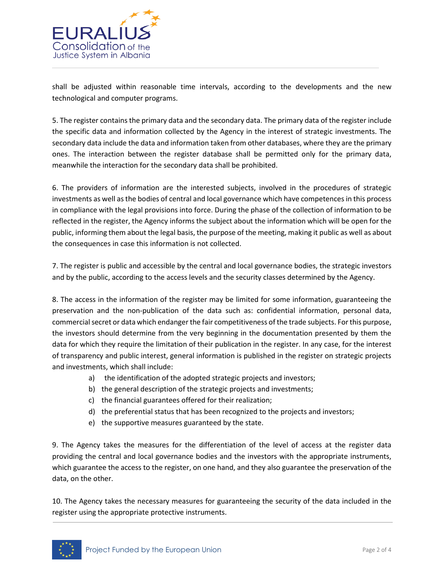

shall be adjusted within reasonable time intervals, according to the developments and the new technological and computer programs.

5. The register contains the primary data and the secondary data. The primary data of the register include the specific data and information collected by the Agency in the interest of strategic investments. The secondary data include the data and information taken from other databases, where they are the primary ones. The interaction between the register database shall be permitted only for the primary data, meanwhile the interaction for the secondary data shall be prohibited.

6. The providers of information are the interested subjects, involved in the procedures of strategic investments as well as the bodies of central and local governance which have competences in this process in compliance with the legal provisions into force. During the phase of the collection of information to be reflected in the register, the Agency informs the subject about the information which will be open for the public, informing them about the legal basis, the purpose of the meeting, making it public as well as about the consequences in case this information is not collected.

7. The register is public and accessible by the central and local governance bodies, the strategic investors and by the public, according to the access levels and the security classes determined by the Agency.

8. The access in the information of the register may be limited for some information, guaranteeing the preservation and the non-publication of the data such as: confidential information, personal data, commercial secret or data which endanger the fair competitiveness of the trade subjects. For this purpose, the investors should determine from the very beginning in the documentation presented by them the data for which they require the limitation of their publication in the register. In any case, for the interest of transparency and public interest, general information is published in the register on strategic projects and investments, which shall include:

- a) the identification of the adopted strategic projects and investors;
- b) the general description of the strategic projects and investments;
- c) the financial guarantees offered for their realization;
- d) the preferential status that has been recognized to the projects and investors;
- e) the supportive measures guaranteed by the state.

9. The Agency takes the measures for the differentiation of the level of access at the register data providing the central and local governance bodies and the investors with the appropriate instruments, which guarantee the access to the register, on one hand, and they also guarantee the preservation of the data, on the other.

10. The Agency takes the necessary measures for guaranteeing the security of the data included in the register using the appropriate protective instruments.

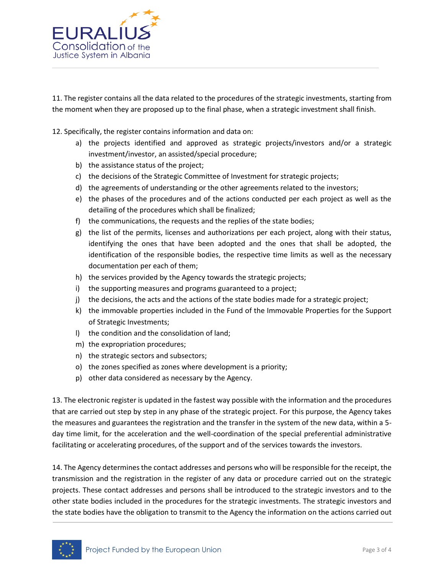

11. The register contains all the data related to the procedures of the strategic investments, starting from the moment when they are proposed up to the final phase, when a strategic investment shall finish.

12. Specifically, the register contains information and data on:

- a) the projects identified and approved as strategic projects/investors and/or a strategic investment/investor, an assisted/special procedure;
- b) the assistance status of the project;
- c) the decisions of the Strategic Committee of Investment for strategic projects;
- d) the agreements of understanding or the other agreements related to the investors;
- e) the phases of the procedures and of the actions conducted per each project as well as the detailing of the procedures which shall be finalized;
- f) the communications, the requests and the replies of the state bodies;
- g) the list of the permits, licenses and authorizations per each project, along with their status, identifying the ones that have been adopted and the ones that shall be adopted, the identification of the responsible bodies, the respective time limits as well as the necessary documentation per each of them;
- h) the services provided by the Agency towards the strategic projects;
- i) the supporting measures and programs guaranteed to a project;
- j) the decisions, the acts and the actions of the state bodies made for a strategic project;
- k) the immovable properties included in the Fund of the Immovable Properties for the Support of Strategic Investments;
- l) the condition and the consolidation of land;
- m) the expropriation procedures;
- n) the strategic sectors and subsectors;
- o) the zones specified as zones where development is a priority;
- p) other data considered as necessary by the Agency.

13. The electronic register is updated in the fastest way possible with the information and the procedures that are carried out step by step in any phase of the strategic project. For this purpose, the Agency takes the measures and guarantees the registration and the transfer in the system of the new data, within a 5 day time limit, for the acceleration and the well-coordination of the special preferential administrative facilitating or accelerating procedures, of the support and of the services towards the investors.

14. The Agency determines the contact addresses and persons who will be responsible for the receipt, the transmission and the registration in the register of any data or procedure carried out on the strategic projects. These contact addresses and persons shall be introduced to the strategic investors and to the other state bodies included in the procedures for the strategic investments. The strategic investors and the state bodies have the obligation to transmit to the Agency the information on the actions carried out